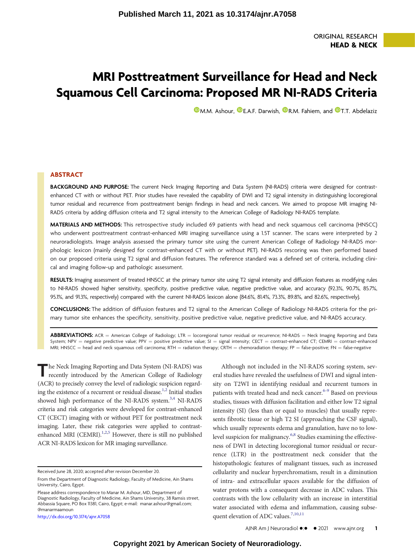# MRI Posttreatment Surveillance for Head and Neck Squamous Cell Carcinoma: Proposed MR NI-RADS Criteria

**D[M.M. Ashour,](https://orcid.org/0000-0002-2739-6485) D[E.A.F. Darwish,](https://orcid.org/0000-0001-7314-1259) D[R.M. Fahiem,](https://orcid.org/0000-0003-0298-726X) and D[T.T. Abdelaziz](https://orcid.org/0000-0002-8275-6498)** 

# ABSTRACT

BACKGROUND AND PURPOSE: The current Neck Imaging Reporting and Data System (NI-RADS) criteria were designed for contrastenhanced CT with or without PET. Prior studies have revealed the capability of DWI and T2 signal intensity in distinguishing locoregional tumor residual and recurrence from posttreatment benign findings in head and neck cancers. We aimed to propose MR imaging NI-RADS criteria by adding diffusion criteria and T2 signal intensity to the American College of Radiology NI-RADS template.

MATERIALS AND METHODS: This retrospective study included 69 patients with head and neck squamous cell carcinoma (HNSCC) who underwent posttreatment contrast-enhanced MRI imaging surveillance using a 1.5T scanner. The scans were interpreted by 2 neuroradiologists. Image analysis assessed the primary tumor site using the current American College of Radiology NI-RADS morphologic lexicon (mainly designed for contrast-enhanced CT with or without PET). NI-RADS rescoring was then performed based on our proposed criteria using T2 signal and diffusion features. The reference standard was a defined set of criteria, including clinical and imaging follow-up and pathologic assessment.

RESULTS: Imaging assessment of treated HNSCC at the primary tumor site using T2 signal intensity and diffusion features as modifying rules to NI-RADS showed higher sensitivity, specificity, positive predictive value, negative predictive value, and accuracy (92.3%, 90.7%, 85.7%, 95.1%, and 91.3%, respectively) compared with the current NI-RADS lexicon alone (84.6%, 81.4%, 73.3%, 89.8%, and 82.6%, respectively).

CONCLUSIONS: The addition of diffusion features and T2 signal to the American College of Radiology NI-RADS criteria for the primary tumor site enhances the specificity, sensitivity, positive predictive value, negative predictive value, and NI-RADS accuracy.

ABBREVIATIONS: ACR = American College of Radiology; LTR = locoregional tumor residual or recurrence; NI-RADS = Neck Imaging Reporting and Data System; NPV = negative predictive value; PPV = positive predictive value; SI = signal intensity; CECT = contrast-enhanced CT; CEMRI = contrast-enhanced MRI; HNSCC = head and neck squamous cell carcinoma; RTH = radiation therapy; CRTH = chemoradiation therapy; FP = false-positive; FN = false-negative

The Neck Imaging Reporting and Data System (NI-RADS) was recently introduced by the American College of Radiology (ACR) to precisely convey the level of radiologic suspicion regard-ing the existence of a recurrent or residual disease.<sup>1,[2](#page-5-1)</sup> Initial studies showed high performance of the NI-RADS system.<sup>3,[4](#page-5-3)</sup> NI-RADS criteria and risk categories were developed for contrast-enhanced CT (CECT) imaging with or without PET for posttreatment neck imaging. Later, these risk categories were applied to contrastenhanced MRI (CEMRI). $1,2,5$  $1,2,5$  $1,2,5$  However, there is still no published ACR NI-RADS lexicon for MR imaging surveillance.

Please address correspondence to Manar M. Ashour, MD, Department of Diagnostic Radiology, Faculty of Medicine, Ain Shams University, 38 Ramsis street, Abbassia Square, PO Box 11381, Cairo, Egypt; e-mail: [manar.ashour@gmail.com;](mailto:manar.ashour@gmail.com) @manarmaamoun

<http://dx.doi.org/10.3174/ajnr.A7058>

Although not included in the NI-RADS scoring system, several studies have revealed the usefulness of DWI and signal intensity on T2WI in identifying residual and recurrent tumors in patients with treated head and neck cancer.<sup>6[-](#page-5-6)[9](#page-5-7)</sup> Based on previous studies, tissues with diffusion facilitation and either low T2 signal intensity (SI) (less than or equal to muscles) that usually represents fibrotic tissue or high T2 SI (approaching the CSF signal), which usually represents edema and granulation, have no to low-level suspicion for malignancy.<sup>6,[8](#page-5-6)</sup> Studies examining the effectiveness of DWI in detecting locoregional tumor residual or recurrence (LTR) in the posttreatment neck consider that the histopathologic features of malignant tissues, such as increased cellularity and nuclear hyperchromatism, result in a diminution of intra- and extracellular spaces available for the diffusion of water protons with a consequent decrease in ADC values. This contrasts with the low cellularity with an increase in interstitial water associated with edema and inflammation, causing subse-quent elevation of ADC values.<sup>7,[10](#page-5-9)[,11](#page-5-10)</sup>

AJNR Am J Neuroradiol •:• • 2021 www.ajnr.org 1

Received June 28, 2020; accepted after revision December 20.

From the Department of Diagnostic Radiology, Faculty of Medicine, Ain Shams University, Cairo, Egypt.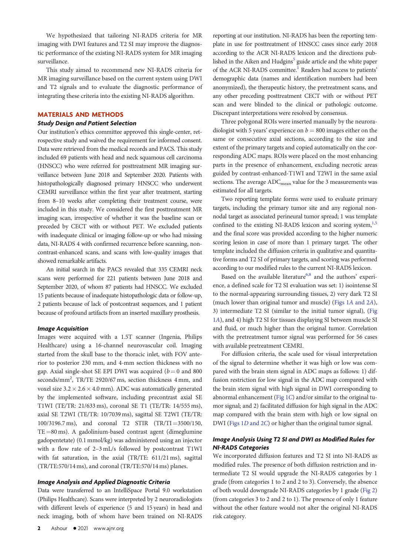We hypothesized that tailoring NI-RADS criteria for MR imaging with DWI features and T2 SI may improve the diagnostic performance of the existing NI-RADS system for MR imaging surveillance.

This study aimed to recommend new NI-RADS criteria for MR imaging surveillance based on the current system using DWI and T2 signals and to evaluate the diagnostic performance of integrating these criteria into the existing NI-RADS algorithm.

## MATERIALS AND METHODS

#### Study Design and Patient Selection

Our institution's ethics committee approved this single-center, retrospective study and waived the requirement for informed consent. Data were retrieved from the medical records and PACS. This study included 69 patients with head and neck squamous cell carcinoma (HNSCC) who were referred for posttreatment MR imaging surveillance between June 2018 and September 2020. Patients with histopathologically diagnosed primary HNSCC who underwent CEMRI surveillance within the first year after treatment, starting from 8–10 weeks after completing their treatment course, were included in this study. We considered the first posttreatment MR imaging scan, irrespective of whether it was the baseline scan or preceded by CECT with or without PET. We excluded patients with inadequate clinical or imaging follow-up or who had missing data, NI-RADS 4 with confirmed recurrence before scanning, noncontrast-enhanced scans, and scans with low-quality images that showed remarkable artifacts.

An initial search in the PACS revealed that 335 CEMRI neck scans were performed for 221 patients between June 2018 and September 2020, of whom 87 patients had HNSCC. We excluded 15 patients because of inadequate histopathologic data or follow-up, 2 patients because of lack of postcontrast sequences, and 1 patient because of profound artifacts from an inserted maxillary prosthesis.

#### Image Acquisition

Images were acquired with a 1.5T scanner (Ingenia, Philips Healthcare) using a 16-channel neurovascular coil. Imaging started from the skull base to the thoracic inlet, with FOV anterior to posterior 230 mm, and 4-mm section thickness with no gap. Axial single-shot SE EPI DWI was acquired ( $b = 0$  and 800 seconds/mm2 , TR/TE 2920/67 ms, section thickness 4 mm, and voxel size  $3.2 \times 2.6 \times 4.0$  mm). ADC was automatically generated by the implemented software, including precontrast axial SE T1WI (TE/TR: 21/633 ms), coronal SE T1 (TE/TR: 14/555 ms), axial SE T2WI (TE/TR: 10/7039 ms), sagittal SE T2WI (TE/TR: 100/3196.7 ms), and coronal T2 STIR  $(TR/TI = 3500/150,$  $TE = 80$  ms). A gadolinium-based contrast agent (dimeglumine gadopentetate) (0.1 mmol/kg) was administered using an injector with a flow rate of 2–3 mL/s followed by postcontrast T1WI with fat saturation, in the axial (TR/TE: 611/21 ms), sagittal (TR/TE:570/14 ms), and coronal (TR/TE:570/14 ms) planes.

## Image Analysis and Applied Diagnostic Criteria

Data were transferred to an IntelliSpace Portal 9.0 workstation (Philips Healthcare). Scans were interpreted by 2 neuroradiologists with different levels of experience (5 and 15 years) in head and neck imaging, both of whom have been trained on NI-RADS reporting at our institution. NI-RADS has been the reporting template in use for posttreatment of HNSCC cases since early 2018 according to the ACR NI-RADS lexicon and the directions published in the Aiken and Hudgins<sup>5</sup> guide article and the white paper of the ACR NI-RADS committee.<sup>[1](#page-5-0)</sup> Readers had access to patients' demographic data (names and identification numbers had been anonymized), the therapeutic history, the pretreatment scans, and any other preceding posttreatment CECT with or without PET scan and were blinded to the clinical or pathologic outcome. Discrepant interpretations were resolved by consensus.

Three polygonal ROIs were inserted manually by the neuroradiologist with 5 years' experience on  $b = 800$  images either on the same or consecutive axial sections, according to the size and extent of the primary targets and copied automatically on the corresponding ADC maps. ROIs were placed on the most enhancing parts in the presence of enhancement, excluding necrotic areas guided by contrast-enhanced-T1WI and T2WI in the same axial sections. The average ADC<sub>mean</sub> value for the 3 measurements was estimated for all targets.

Two reporting template forms were used to evaluate primary targets, including the primary tumor site and any regional nonnodal target as associated perineural tumor spread; 1 was template confined to the existing NI-RADS lexicon and scoring system, $1,5$  $1,5$ and the final score was provided according to the higher numeric scoring lesion in case of more than 1 primary target. The other template included the diffusion criteria in qualitative and quantitative forms and T2 SI of primary targets, and scoring was performed according to our modified rules to the current NI-RADS lexicon.

Based on the available literature<sup>6,[8](#page-5-6)</sup> and the authors' experience, a defined scale for T2 SI evaluation was set: 1) isointense SI to the normal-appearing surrounding tissues, 2) very dark T2 SI (much lower than original tumor and muscle) [\(Figs 1](#page-2-0)A and 2A), 3) intermediate T2 SI (similar to the initial tumor signal), ([Fig](#page-2-0) 1[A](#page-2-0)), and 4) high T2 SI for tissues displaying SI between muscle SI and fluid, or much higher than the original tumor. Correlation with the pretreatment tumor signal was performed for 56 cases with available pretreatment CEMRI.

For diffusion criteria, the scale used for visual interpretation of the signal to determine whether it was high or low was compared with the brain stem signal in ADC maps as follows: 1) diffusion restriction for low signal in the ADC map compared with the brain stem signal with high signal in DWI corresponding to abnormal enhancement [\(Fig 1](#page-2-0)C) and/or similar to the original tumor signal; and 2) facilitated diffusion for high signal in the ADC map compared with the brain stem with high or low signal on DWI [\(Figs 1](#page-2-0)D and 2C) or higher than the original tumor signal.

# Image Analysis Using T2 SI and DWI as Modified Rules for NI-RADS Categories

We incorporated diffusion features and T2 SI into NI-RADS as modified rules. The presence of both diffusion restriction and intermediate T2 SI would upgrade the NI-RADS categories by 1 grade (from categories 1 to 2 and 2 to 3). Conversely, the absence of both would downgrade NI-RADS categories by 1 grade [\(Fig 2\)](#page-2-1) (from categories 3 to 2 and 2 to 1). The presence of only 1 feature without the other feature would not alter the original NI-RADS risk category.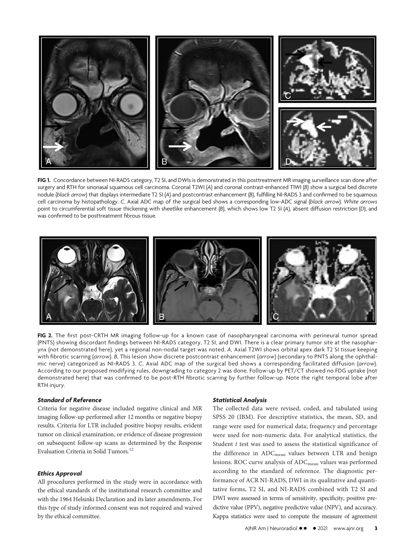

FIG 1. Concordance between NI-RADS category, T2 SI, and DWIs is demonstrated in this posttreatment MR imaging surveillance scan done after surgery and RTH for sinonasal squamous cell carcinoma. Coronal T2WI (A) and coronal contrast-enhanced TIWI (B) show a surgical bed discrete nodule (black arrow) that displays intermediate T2 SI (A) and postcontrast enhancement (B), fulfilling NI-RADS 3 and confirmed to be squamous cell carcinoma by histopathology. C. Axial ADC map of the surgical bed shows a corresponding low-ADC signal (black arrow). White arrows point to circumferential soft tissue thickening with sheetlike enhancement (B), which shows low T2 SI (A), absent diffusion restriction (D), and was confirmed to be posttreatment fibrous tissue.

<span id="page-2-0"></span>

FIG 2. The first post-CRTH MR imaging follow-up for a known case of nasopharyngeal carcinoma with perineural tumor spread (PNTS) showing discordant findings between NI-RADS category, T2 SI, and DWI. There is a clear primary tumor site at the nasopharynx (not demonstrated here), yet a regional non-nodal target was noted. A, Axial T2WI shows orbital apex dark T2 SI tissue keeping with fibrotic scarring (arrow). B, This lesion show discrete postcontrast enhancement (arrow) (secondary to PNTS along the ophthalmic nerve) categorized as NI-RADS 3. C, Axial ADC map of the surgical bed shows a corresponding facilitated diffusion (arrow). According to our proposed modifying rules, downgrading to category 2 was done. Follow-up by PET/CT showed no FDG uptake (not demonstrated here) that was confirmed to be post-RTH fibrotic scarring by further follow-up. Note the right temporal lobe after RTH injury.

## <span id="page-2-1"></span>Standard of Reference

Criteria for negative disease included negative clinical and MR imaging follow-up performed after 12 months or negative biopsy results. Criteria for LTR included positive biopsy results, evident tumor on clinical examination, or evidence of disease progression on subsequent follow-up scans as determined by the Response Evaluation Criteria in Solid Tumors.<sup>12</sup>

# Ethics Approval

All procedures performed in the study were in accordance with the ethical standards of the institutional research committee and with the 1964 Helsinki Declaration and its later amendments. For this type of study informed consent was not required and waived by the ethical committee.

#### Statistical Analysis

The collected data were revised, coded, and tabulated using SPSS 20 (IBM). For descriptive statistics, the mean, SD, and range were used for numerical data; frequency and percentage were used for non-numeric data. For analytical statistics, the Student  $t$  test was used to assess the statistical significance of the difference in ADC<sub>mean</sub> values between LTR and benign lesions. ROC curve analysis of ADC<sub>mean</sub> values was performed according to the standard of reference. The diagnostic performance of ACR NI-RADS, DWI in its qualitative and quantitative forms, T2 SI, and NI-RADS combined with T2 SI and DWI were assessed in terms of sensitivity, specificity, positive predictive value (PPV), negative predictive value (NPV), and accuracy. Kappa statistics were used to compute the measure of agreement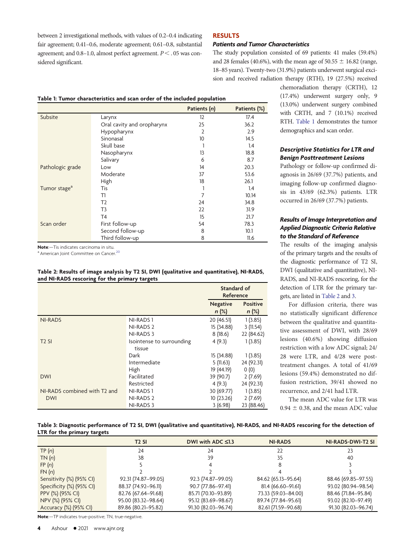between 2 investigational methods, with values of 0.2–0.4 indicating fair agreement; 0.41–0.6, moderate agreement; 0.61–0.8, substantial agreement; and  $0.8-1.0$ , almost perfect agreement.  $P < 0.05$  was considered significant.

# RESULTS

# Patients and Tumor Characteristics

The study population consisted of 69 patients: 41 males (59.4%) and 28 females (40.6%), with the mean age of  $50.55 \pm 16.82$  (range, 18–85 years). Twenty-two (31.9%) patients underwent surgical excision and received radiation therapy (RTH), 19 (27.5%) received

Table 1: Tumor characteristics and scan order of the included population

|                          |                            | Patients (n)    | Patients (%) |
|--------------------------|----------------------------|-----------------|--------------|
| Subsite                  | Larynx                     | 12              | 17.4         |
|                          | Oral cavity and oropharynx | 25              | 36.2         |
|                          | Hypopharynx                | $\overline{2}$  | 2.9          |
|                          | Sinonasal                  | 10 <sup>°</sup> | 14.5         |
|                          | Skull base                 |                 | 1.4          |
|                          | Nasopharynx                | 13              | 18.8         |
|                          | Salivary                   | 6               | 8.7          |
| Pathologic grade         | Low                        | 14              | 20.3         |
|                          | Moderate                   | 37              | 53.6         |
|                          | High                       | 18              | 26.1         |
| Tumor stage <sup>a</sup> | Tis                        |                 | 1.4          |
|                          | T1                         | 7               | 10.14        |
|                          | T <sub>2</sub>             | 24              | 34.8         |
|                          | T <sub>3</sub>             | 22              | 31.9         |
|                          | T <sub>4</sub>             | 15              | 21.7         |
| Scan order               | First follow-up            | 54              | 78.3         |
|                          | Second follow-up           | 8               | 10.1         |
|                          | Third follow-up            | 8               | 11.6         |

<span id="page-3-0"></span>Note:—Tis indicates carcinoma in situ.

a American Joint Committee on Cancer.<sup>[20](#page-6-0)</sup>

### <span id="page-3-1"></span>Table 2: Results of image analysis by T2 SI, DWI (qualitative and quantitative), NI-RADS, and NI-RADS rescoring for the primary targets

|                              |                           | Standard of<br>Reference   |                            |
|------------------------------|---------------------------|----------------------------|----------------------------|
|                              |                           | <b>Negative</b><br>$n$ (%) | <b>Positive</b><br>$n$ (%) |
| <b>NI-RADS</b>               | NI-RADS <sub>1</sub>      | 20 (46.51)                 | 1(3.85)                    |
|                              | NI-RADS 2                 | 15 (34.88)                 | 3(11.54)                   |
|                              | NI-RADS 3                 | 8(18.6)                    | 22 (84.62)                 |
| $T2$ SI                      | Isointense to surrounding | 4(9.3)                     | 1(3.85)                    |
|                              | tissue                    |                            |                            |
|                              | Dark                      | 15 (34.88)                 | 1(3.85)                    |
|                              | Intermediate              | 5(11.63)                   | 24 (92.31)                 |
|                              | High                      | 19 (44.19)                 | 0(0)                       |
| <b>DWI</b>                   | Facilitated               | 39 (90.7)                  | 2(7.69)                    |
|                              | Restricted                | 4(9.3)                     | 24 (92.31)                 |
| NI-RADS combined with T2 and | NI-RADS <sub>1</sub>      | 30 (69.77)                 | 1(3.85)                    |
| <b>DWI</b>                   | NI-RADS <sub>2</sub>      | 10 (23.26)                 | 2(7.69)                    |
|                              | NI-RADS 3                 | 3(6.98)                    | 23 (88.46)                 |

chemoradiation therapy (CRTH), 12 (17.4%) underwent surgery only, 9 (13.0%) underwent surgery combined with CRTH, and 7 (10.1%) received RTH. [Table 1](#page-3-0) demonstrates the tumor demographics and scan order.

# Descriptive Statistics for LTR and Benign Posttreatment Lesions

Pathology or follow-up confirmed diagnosis in 26/69 (37.7%) patients, and imaging follow-up confirmed diagnosis in 43/69 (62.3%) patients. LTR occurred in 26/69 (37.7%) patients.

# Results of Image Interpretation and Applied Diagnostic Criteria Relative to the Standard of Reference

The results of the imaging analysis of the primary targets and the results of the diagnostic performance of T2 SI, DWI (qualitative and quantitative), NI-RADS, and NI-RADS rescoring, for the detection of LTR for the primary targets, are listed in [Table 2](#page-3-1) and [3](#page-3-2).

For diffusion criteria, there was no statistically significant difference between the qualitative and quantitative assessment of DWI, with 28/69 lesions (40.6%) showing diffusion restriction with a low ADC signal; 24/ 28 were LTR, and 4/28 were posttreatment changes. A total of 41/69 lesions (59.4%) demonstrated no diffusion restriction, 39/41 showed no recurrence, and 2/41 had LTR.

The mean ADC value for LTR was  $0.94 \pm 0.38$ , and the mean ADC value

### Table 3: Diagnostic performance of T2 SI, DWI (qualitative and quantitative), NI-RADS, and NI-RADS rescoring for the detection of LTR for the primary targets

|                          | <b>T2 SI</b>        | DWI with ADC $\leq 1.3$ | <b>NI-RADS</b>      | NI-RADS-DWI-T2 SI   |
|--------------------------|---------------------|-------------------------|---------------------|---------------------|
| TP(n)                    | 24                  | 24                      | 22                  |                     |
| TN(n)                    | 38                  | 39                      | 35                  | 40                  |
| FP(n)                    |                     |                         |                     |                     |
| FN(n)                    |                     |                         |                     |                     |
| Sensitivity (%) (95% CI) | 92.31 (74.87-99.05) | 92.3 (74.87-99.05)      | 84.62 (65.13-95.64) | 88.46 (69.85-97.55) |
| Specificity (%) (95% CI) | 88.37 (74.92-96.11) | 90.7 (77.86-97.41)      | 81.4 (66.60-91.61)  | 93.02 (80.94-98.54) |
| PPV (%) (95% CI)         | 82.76 (67.64-91.68) | 85.71 (70.10-93.89)     | 73.33 (59.03-84.00) | 88.46 (71.84-95.84) |
| NPV (%) (95% CI)         | 95.00 (83.32-98.64) | 95.12 (83.69-98.67)     | 89.74 (77.84-95.61) | 93.02 (82.10-97.49) |
| Accuracy (%) (95% CI)    | 89.86 (80.21-95.82) | 91.30 (82.03-96.74)     | 82.61 (71.59-90.68) | 91.30 (82.03-96.74) |

<span id="page-3-2"></span>Note:—TP indicates true-positive; TN, true-negative.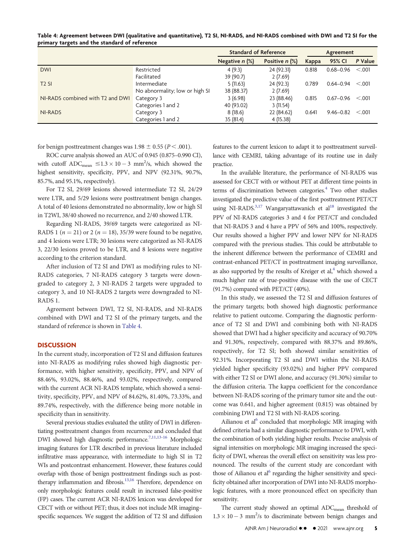<span id="page-4-0"></span>

|                                               | Table 4: Agreement between DWI (qualitative and quantitative), T2 SI, NI-RADS, and NI-RADS combined with DWI and T2 SI for the |
|-----------------------------------------------|--------------------------------------------------------------------------------------------------------------------------------|
| primary targets and the standard of reference |                                                                                                                                |

|                                  |                                | <b>Standard of Reference</b> |                | Agreement |               |         |
|----------------------------------|--------------------------------|------------------------------|----------------|-----------|---------------|---------|
|                                  |                                | Negative $n$ (%)             | Positive n (%) | Kappa     | 95% CI        | P Value |
| <b>DWI</b>                       | Restricted                     | 4(9.3)                       | 24 (92.31)     | 0.818     | $0.68 - 0.96$ | < 0.001 |
|                                  | Facilitated                    | 39 (90.7)                    | 2(7.69)        |           |               |         |
| $T2$ SI                          | Intermediate                   | 5(11.63)                     | 24 (92.3)      | 0.789     | $0.64 - 0.94$ | < 0.001 |
|                                  | No abnormality; low or high SI | 38 (88.37)                   | 2(7.69)        |           |               |         |
| NI-RADS combined with T2 and DWI | Category 3                     | 3(6.98)                      | 23 (88.46)     | 0.815     | $0.67 - 0.96$ | < 0.001 |
|                                  | Categories 1 and 2             | 40 (93.02)                   | 3(11.54)       |           |               |         |
| NI-RADS                          | Category 3                     | 8(18.6)                      | 22 (84.62)     | 0.641     | $9.46 - 0.82$ | < 0.001 |
|                                  | Categories 1 and 2             | 35 (81.4)                    | 4 (15.38)      |           |               |         |

for benign posttreatment changes was 1.98  $\pm$  0.55 (P  $<$  .001).

ROC curve analysis showed an AUC of 0.945 (0.875–0.990 CI), with cutoff  $ADC_{mean} \leq 1.3 \times 10 - 3$  mm<sup>2</sup>/s, which showed the highest sensitivity, specificity, PPV, and NPV (92.31%, 90.7%, 85.7%, and 95.1%, respectively).

For T2 SI, 29/69 lesions showed intermediate T2 SI, 24/29 were LTR, and 5/29 lesions were posttreatment benign changes. A total of 40 lesions demonstrated no abnormality, low or high SI in T2WI, 38/40 showed no recurrence, and 2/40 showed LTR.

Regarding NI-RADS, 39/69 targets were categorized as NI-RADS 1 ( $n = 21$ ) or 2 ( $n = 18$ ), 35/39 were found to be negative, and 4 lesions were LTR; 30 lesions were categorized as NI-RADS 3, 22/30 lesions proved to be LTR, and 8 lesions were negative according to the criterion standard.

After inclusion of T2 SI and DWI as modifying rules to NI-RADS categories, 7 NI-RADS category 3 targets were downgraded to category 2, 3 NI-RADS 2 targets were upgraded to category 3, and 10 NI-RADS 2 targets were downgraded to NI-RADS 1.

Agreement between DWI, T2 SI, NI-RADS, and NI-RADS combined with DWI and T2 SI of the primary targets, and the standard of reference is shown in [Table 4](#page-4-0).

# **DISCUSSION**

In the current study, incorporation of T2 SI and diffusion features into NI-RADS as modifying rules showed high diagnostic performance, with higher sensitivity, specificity, PPV, and NPV of 88.46%, 93.02%, 88.46%, and 93.02%, respectively, compared with the current ACR NI-RADS template, which showed a sensitivity, specificity, PPV, and NPV of 84.62%, 81.40%, 73.33%, and 89.74%, respectively, with the difference being more notable in specificity than in sensitivity.

Several previous studies evaluated the utility of DWI in differentiating posttreatment changes from recurrence and concluded that DWI showed high diagnostic performance.<sup>7[,11](#page-5-10)[,13](#page-5-12)[-](#page-5-13)[16](#page-5-14)</sup> Morphologic imaging features for LTR described in previous literature included infiltrative mass appearance, with intermediate to high SI in T2 WIs and postcontrast enhancement. However, these features could overlap with those of benign posttreatment findings such as post-therapy inflammation and fibrosis.<sup>[13,](#page-5-12)[16](#page-5-14)</sup> Therefore, dependence on only morphologic features could result in increased false-positive (FP) cases. The current ACR NI-RADS lexicon was developed for CECT with or without PET; thus, it does not include MR imaging– specific sequences. We suggest the addition of T2 SI and diffusion features to the current lexicon to adapt it to posttreatment surveillance with CEMRI, taking advantage of its routine use in daily practice.

In the available literature, the performance of NI-RADS was assessed for CECT with or without PET at different time points in terms of discrimination between categories.<sup>4</sup> Two other studies investigated the predictive value of the first posttreatment PET/CT using NI-RADS. $3,17$  $3,17$  Wangaryattawanich et al<sup>18</sup> investigated the PPV of NI-RADS categories 3 and 4 for PET/CT and concluded that NI-RADS 3 and 4 have a PPV of 56% and 100%, respectively. Our results showed a higher PPV and lower NPV for NI-RADS compared with the previous studies. This could be attributable to the inherent difference between the performance of CEMRI and contrast-enhanced PET/CT in posttreatment imaging surveillance, as also supported by the results of Kreiger et  $al$ ,<sup>4</sup> which showed a much higher rate of true-positive disease with the use of CECT (91.7%) compared with PET/CT (40%).

In this study, we assessed the T2 SI and diffusion features of the primary targets; both showed high diagnostic performance relative to patient outcome. Comparing the diagnostic performance of T2 SI and DWI and combining both with NI-RADS showed that DWI had a higher specificity and accuracy of 90.70% and 91.30%, respectively, compared with 88.37% and 89.86%, respectively, for T2 SI; both showed similar sensitivities of 92.31%. Incorporating T2 SI and DWI within the NI-RADS yielded higher specificity (93.02%) and higher PPV compared with either T2 SI or DWI alone, and accuracy (91.30%) similar to the diffusion criteria. The kappa coefficient for the concordance between NI-RADS scoring of the primary tumor site and the outcome was 0.641, and higher agreement (0.815) was obtained by combining DWI and T2 SI with NI-RADS scoring.

Ailianou et al<sup> $6$ </sup> concluded that morphologic MR imaging with defined criteria had a similar diagnostic performance to DWI, with the combination of both yielding higher results. Precise analysis of signal intensities on morphologic MR imaging increased the specificity of DWI, whereas the overall effect on sensitivity was less pronounced. The results of the current study are concordant with those of Ailianou et  $a^{6}$  regarding the higher sensitivity and specificity obtained after incorporation of DWI into NI-RADS morphologic features, with a more pronounced effect on specificity than sensitivity.

The current study showed an optimal ADC<sub>mean</sub> threshold of  $1.3 \times 10 - 3$  mm<sup>2</sup>/s to discriminate between benign changes and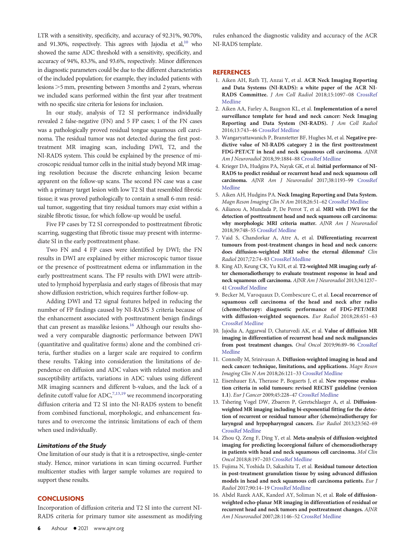LTR with a sensitivity, specificity, and accuracy of 92.31%, 90.70%, and 91.30%, respectively. This agrees with Jajodia et  $al<sub>10</sub>$  who showed the same ADC threshold with a sensitivity, specificity, and accuracy of 94%, 83.3%, and 93.6%, respectively. Minor differences in diagnostic parameters could be due to the different characteristics of the included population; for example, they included patients with lesions  $>5$  mm, presenting between 3 months and 2 years, whereas we included scans performed within the first year after treatment with no specific size criteria for lesions for inclusion.

In our study, analysis of T2 SI performance individually revealed 2 false-negative (FN) and 5 FP cases; 1 of the FN cases was a pathologically proved residual tongue squamous cell carcinoma. The residual tumor was not detected during the first posttreatment MR imaging scan, including DWI, T2, and the NI-RADS system. This could be explained by the presence of microscopic residual tumor cells in the initial study beyond MR imaging resolution because the discrete enhancing lesion became apparent on the follow-up scans. The second FN case was a case with a primary target lesion with low T2 SI that resembled fibrotic tissue; it was proved pathologically to contain a small 6-mm residual tumor, suggesting that tiny residual tumors may exist within a sizable fibrotic tissue, for which follow-up would be useful.

Five FP cases by T2 SI corresponded to posttreatment fibrotic scarring, suggesting that fibrotic tissue may present with intermediate SI in the early posttreatment phase.

Two FN and 4 FP cases were identified by DWI; the FN results in DWI are explained by either microscopic tumor tissue or the presence of posttreatment edema or inflammation in the early posttreatment scans. The FP results with DWI were attributed to lymphoid hyperplasia and early stages of fibrosis that may show diffusion restriction, which requires further follow-up.

Adding DWI and T2 signal features helped in reducing the number of FP findings caused by NI-RADS 3 criteria because of the enhancement associated with posttreatment benign findings that can present as masslike lesions.<sup>[16](#page-5-14)</sup> Although our results showed a very comparable diagnostic performance between DWI (quantitative and qualitative forms) alone and the combined criteria, further studies on a larger scale are required to confirm these results. Taking into consideration the limitations of dependence on diffusion and ADC values with related motion and susceptibility artifacts, variations in ADC values using different MR imaging scanners and different b-values, and the lack of a definite cutoff value for ADC,  $7,13,19$  $7,13,19$  $7,13,19$  $7,13,19$  we recommend incorporating diffusion criteria and T2 SI into the NI-RADS system to benefit from combined functional, morphologic, and enhancement features and to overcome the intrinsic limitations of each of them when used individually.

# Limitations of the Study

One limitation of our study is that it is a retrospective, single-center study. Hence, minor variations in scan timing occurred. Further multicenter studies with larger sample volumes are required to support these results.

## **CONCLUSIONS**

Incorporation of diffusion criteria and T2 SI into the current NI-RADS criteria for primary tumor site assessment as modifying rules enhanced the diagnostic validity and accuracy of the ACR NI-RADS template.

## **REFERENCES**

- <span id="page-5-0"></span>1. Aiken AH, Rath TJ, Anzai Y, et al. ACR Neck Imaging Reporting and Data Systems (NI-RADS): a white paper of the ACR NI-RADS Committee. J Am Coll Radiol 2018;15:1097–08 [CrossRef](http://dx.doi.org/10.1016/j.jacr.2018.05.006) [Medline](https://www.ncbi.nlm.nih.gov/pubmed/29983244)
- <span id="page-5-1"></span>2. Aiken AA, Farley A, Baugnon KL, et al. Implementation of a novel surveillance template for head and neck cancer: Neck Imaging Reporting and Data System (NI-RADS). J Am Coll Radiol 2016;13:743–46 [CrossRef](http://dx.doi.org/10.1016/j.jacr.2015.09.032) [Medline](https://www.ncbi.nlm.nih.gov/pubmed/26577876)
- <span id="page-5-2"></span>3. Wangaryattawanich P, Branstetter BF, Hughes M, et al. Negative predictive value of NI-RADS category 2 in the first posttreatment FDG-PET/CT in head and neck squamous cell carcinoma. AJNR Am J Neuroradiol 2018;39:1884–88 [CrossRef](http://dx.doi.org/10.3174/ajnr.A5767) [Medline](https://www.ncbi.nlm.nih.gov/pubmed/30166429)
- <span id="page-5-3"></span>4. Krieger DA, Hudgins PA, Nayak GK, et al. Initial performance of NI-RADS to predict residual or recurrent head and neck squamous cell carcinoma. AJNR Am J Neuroradiol 2017;38:1193–99 [CrossRef](http://dx.doi.org/10.3174/ajnr.A5157) [Medline](https://www.ncbi.nlm.nih.gov/pubmed/26577876)
- <span id="page-5-4"></span>5. Aiken AH, Hudgins PA. Neck Imaging Reporting and Data System. Magn Reson Imaging Clin N Am 2018;26:51–62 [CrossRef](http://dx.doi.org/10.1016/j.mric.2017.08.004) [Medline](https://www.ncbi.nlm.nih.gov/pubmed/29128006)
- <span id="page-5-5"></span>6. Ailianou A, Mundada P, De Perrot T, et al. MRI with DWI for the detection of posttreatment head and neck squamous cell carcinoma: why morphologic MRI criteria matter. AJNR Am J Neuroradiol 2018;39:748–55 [CrossRef](http://dx.doi.org/10.3174/ajnr.A5548) [Medline](https://www.ncbi.nlm.nih.gov/pubmed/29449279)
- <span id="page-5-8"></span>7. Vaid S, Chandorkar A, Atre A, et al. Differentiating recurrent tumours from post-treatment changes in head and neck cancers: does diffusion-weighted MRI solve the eternal dilemma? Clin Radiol 2017;72:74–83 [CrossRef](http://dx.doi.org/10.1016/j.crad.2016.09.019) [Medline](https://www.ncbi.nlm.nih.gov/pubmed/27789026)
- <span id="page-5-6"></span>8. King AD, Keung CK, Yu KH, et al. T2-weighted MR imaging early after chemoradiotherapy to evaluate treatment response in head and neck squamous cell carcinoma. AJNR Am J Neuroradiol 2013;34:1237– 41 [CrossRef](http://dx.doi.org/10.3174/ajnr.A3378) [Medline](https://www.ncbi.nlm.nih.gov/pubmed/23306012)
- <span id="page-5-7"></span>9. Becker M, Varoquaux D, Combescure C, et al. Local recurrence of squamous cell carcinoma of the head and neck after radio (chemo)therapy: diagnostic performance of FDG-PET/MRI with diffusion-weighted sequences. Eur Radiol 2018;28:651–63 [CrossRef](http://dx.doi.org/10.1007/s00330-017-4999-1) [Medline](https://www.ncbi.nlm.nih.gov/pubmed/28812148)
- <span id="page-5-9"></span>10. Jajodia A, Aggarwal D, Chaturvedi AK, et al. Value of diffusion MR imaging in differentiation of recurrent head and neck malignancies from post treatment changes. Oral Oncol 2019;96:89–96 [CrossRef](http://dx.doi.org/10.1016/j.oraloncology.2019.06.037) [Medline](https://www.ncbi.nlm.nih.gov/pubmed/31422219)
- <span id="page-5-10"></span>11. Connolly M, Srinivasan A. Diffusion-weighted imaging in head and neck cancer: technique, limitations, and applications. Magn Reson Imaging Clin N Am 2018;26:121–33 [CrossRef](http://dx.doi.org/10.1016/j.mric.2017.08.011) [Medline](https://www.ncbi.nlm.nih.gov/pubmed/29128000)
- <span id="page-5-11"></span>12. Eisenhauer EA, Therasse P, Bogaerts J, et al. New response evaluation criteria in solid tumours: revised RECIST guideline (version 1.1). Eur J Cancer 2009;45:228–47 [CrossRef](http://dx.doi.org/10.1016/j.ejca.2008.10.026) [Medline](https://www.ncbi.nlm.nih.gov/pubmed/19097774)
- <span id="page-5-12"></span>13. Tshering Vogel DW, Zbaeren P, Geretschlaeger A, et al. Diffusionweighted MR imaging including bi-exponential fitting for the detection of recurrent or residual tumour after (chemo)radiotherapy for laryngeal and hypopharyngeal cancers. Eur Radiol 2013;23:562–69 [CrossRef](http://dx.doi.org/10.1007/s00330-012-2596-x) [Medline](https://www.ncbi.nlm.nih.gov/pubmed/22865270)
- 14. Zhou Q, Zeng F, Ding Y, et al. Meta-analysis of diffusion-weighted imaging for predicting locoregional failure of chemoradiotherapy in patients with head and neck squamous cell carcinoma. Mol Clin Oncol 2018;8:197–203 [CrossRef](http://dx.doi.org/10.3892/mco.2017.1504) [Medline](https://www.ncbi.nlm.nih.gov/pubmed/29423223)
- <span id="page-5-13"></span>15. Fujima N, Yoshida D, Sakashita T, et al. Residual tumour detection in post-treatment granulation tissue by using advanced diffusion models in head and neck squamous cell carcinoma patients. Eur J Radiol 2017;90:14–19 [CrossRef](http://dx.doi.org/10.1016/j.ejrad.2017.02.025) [Medline](https://www.ncbi.nlm.nih.gov/pubmed/28583625)
- <span id="page-5-14"></span>16. Abdel Razek AAK, Kandeel AY, Soliman N, et al. Role of diffusionweighted echo-planar MR imaging in differentiation of residual or recurrent head and neck tumors and posttreatment changes. AJNR Am J Neuroradiol 2007;28:1146–52 [CrossRef](http://dx.doi.org/10.3174/ajnr.A0491) [Medline](https://www.ncbi.nlm.nih.gov/pubmed/17569975)